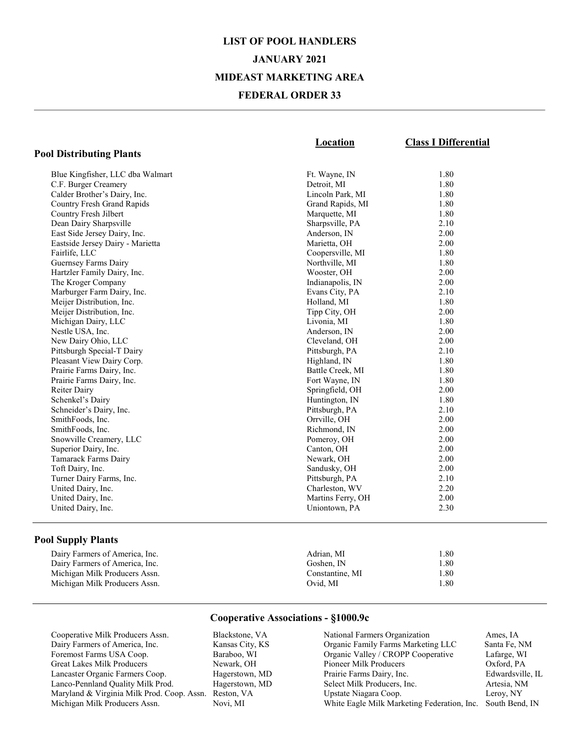## LIST OF POOL HANDLERS JANUARY 2021 MIDEAST MARKETING AREA FEDERAL ORDER 33

|                                  | Location          | <b>Class I Differential</b> |
|----------------------------------|-------------------|-----------------------------|
| <b>Pool Distributing Plants</b>  |                   |                             |
| Blue Kingfisher, LLC dba Walmart | Ft. Wayne, IN     | 1.80                        |
| C.F. Burger Creamery             | Detroit, MI       | 1.80                        |
| Calder Brother's Dairy, Inc.     | Lincoln Park, MI  | 1.80                        |
| Country Fresh Grand Rapids       | Grand Rapids, MI  | 1.80                        |
| Country Fresh Jilbert            | Marquette, MI     | 1.80                        |
| Dean Dairy Sharpsville           | Sharpsville, PA   | 2.10                        |
| East Side Jersey Dairy, Inc.     | Anderson, IN      | 2.00                        |
| Eastside Jersey Dairy - Marietta | Marietta, OH      | 2.00                        |
| Fairlife, LLC                    | Coopersville, MI  | 1.80                        |
| Guernsey Farms Dairy             | Northville, MI    | 1.80                        |
| Hartzler Family Dairy, Inc.      | Wooster, OH       | 2.00                        |
| The Kroger Company               | Indianapolis, IN  | 2.00                        |
| Marburger Farm Dairy, Inc.       | Evans City, PA    | 2.10                        |
| Meijer Distribution, Inc.        | Holland, MI       | 1.80                        |
| Meijer Distribution, Inc.        | Tipp City, OH     | 2.00                        |
| Michigan Dairy, LLC              | Livonia, MI       | 1.80                        |
| Nestle USA, Inc.                 | Anderson, IN      | 2.00                        |
| New Dairy Ohio, LLC              | Cleveland, OH     | 2.00                        |
| Pittsburgh Special-T Dairy       | Pittsburgh, PA    | 2.10                        |
| Pleasant View Dairy Corp.        | Highland, IN      | 1.80                        |
| Prairie Farms Dairy, Inc.        | Battle Creek, MI  | 1.80                        |
| Prairie Farms Dairy, Inc.        | Fort Wayne, IN    | 1.80                        |
| Reiter Dairy                     | Springfield, OH   | 2.00                        |
| Schenkel's Dairy                 | Huntington, IN    | 1.80                        |
| Schneider's Dairy, Inc.          | Pittsburgh, PA    | 2.10                        |
| SmithFoods, Inc.                 | Orrville, OH      | 2.00                        |
| SmithFoods, Inc.                 | Richmond, IN      | 2.00                        |
| Snowville Creamery, LLC          | Pomeroy, OH       | 2.00                        |
| Superior Dairy, Inc.             | Canton, OH        | 2.00                        |
| Tamarack Farms Dairy             | Newark, OH        | 2.00                        |
| Toft Dairy, Inc.                 | Sandusky, OH      | 2.00                        |
| Turner Dairy Farms, Inc.         | Pittsburgh, PA    | 2.10                        |
| United Dairy, Inc.               | Charleston, WV    | 2.20                        |
| United Dairy, Inc.               | Martins Ferry, OH | 2.00                        |
| United Dairy, Inc.               | Uniontown, PA     | 2.30                        |

#### Pool Supply Plants

| Dairy Farmers of America, Inc. | Adrian. MI      | 1.80 |
|--------------------------------|-----------------|------|
| Dairy Farmers of America, Inc. | Goshen. IN      | 1.80 |
| Michigan Milk Producers Assn.  | Constantine, MI | 1.80 |
| Michigan Milk Producers Assn.  | Ovid. MI        | 1.80 |

#### Cooperative Associations - §1000.9c

Cooperative Milk Producers Assn. Blackstone, VA<br>
Dairy Farmers of America, Inc. Kansas City, KS Dairy Farmers of America, Inc. Foremost Farms USA Coop. Baraboo, WI Great Lakes Milk Producers Lancaster Organic Farmers Coop. Hagerstown, MD<br>
Lanco-Pennland Quality Milk Prod. Hagerstown, MD Lanco-Pennland Quality Milk Prod. Maryland & Virginia Milk Prod. Coop. Assn. Reston, VA Michigan Milk Producers Assn.

 National Farmers Organization Ames, IA Organic Family Farms Marketing LLC Santa Fe, NM Organic Valley / CROPP Cooperative Lafarge, WI Pioneer Milk Producers Oxford, PA Prairie Farms Dairy, Inc.<br>
Select Milk Producers, Inc.<br>
Artesia, NM Select Milk Producers, Inc. Artesia, NM<br>
Upstate Niagara Coop. Leroy, NY Upstate Niagara Coop. White Eagle Milk Marketing Federation, Inc. South Bend, IN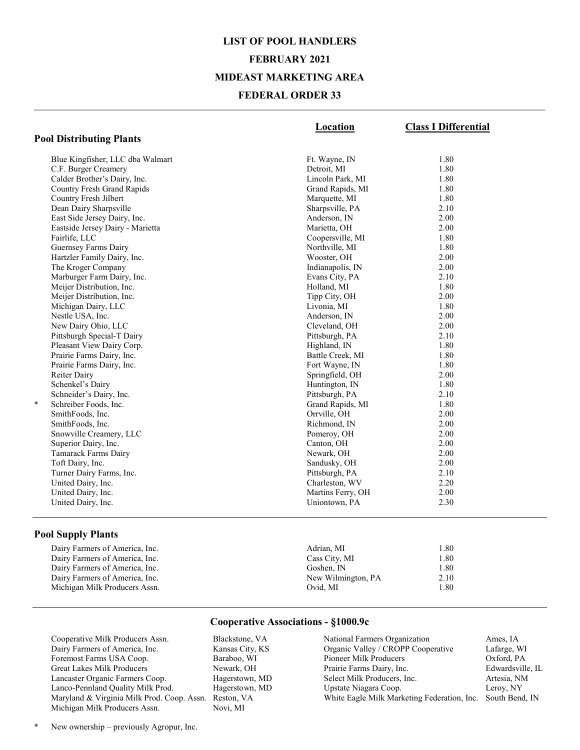## LIST OF POOL HANDLERS FEBRUARY 2021 MIDEAST MARKETING AREA FEDERAL ORDER 33

|                                  | Location          | <b>Class I Differential</b> |
|----------------------------------|-------------------|-----------------------------|
| <b>Pool Distributing Plants</b>  |                   |                             |
| Blue Kingfisher, LLC dba Walmart | Ft. Wayne, IN     | 1.80                        |
| C.F. Burger Creamery             | Detroit, MI       | 1.80                        |
| Calder Brother's Dairy, Inc.     | Lincoln Park, MI  | 1.80                        |
| Country Fresh Grand Rapids       | Grand Rapids, MI  | 1.80                        |
| Country Fresh Jilbert            | Marquette, MI     | 1.80                        |
| Dean Dairy Sharpsville           | Sharpsville, PA   | 2.10                        |
| East Side Jersey Dairy, Inc.     | Anderson, IN      | 2.00                        |
| Eastside Jersey Dairy - Marietta | Marietta, OH      | 2.00                        |
| Fairlife, LLC                    | Coopersville, MI  | 1.80                        |
| Guernsey Farms Dairy             | Northville, MI    | 1.80                        |
| Hartzler Family Dairy, Inc.      | Wooster, OH       | 2.00                        |
| The Kroger Company               | Indianapolis, IN  | 2.00                        |
| Marburger Farm Dairy, Inc.       | Evans City, PA    | 2.10                        |
| Meijer Distribution, Inc.        | Holland, MI       | 1.80                        |
| Meijer Distribution, Inc.        | Tipp City, OH     | 2.00                        |
| Michigan Dairy, LLC              | Livonia, MI       | 1.80                        |
| Nestle USA, Inc.                 | Anderson, IN      | 2.00                        |
| New Dairy Ohio, LLC              | Cleveland, OH     | 2.00                        |
| Pittsburgh Special-T Dairy       | Pittsburgh, PA    | 2.10                        |
| Pleasant View Dairy Corp.        | Highland, IN      | 1.80                        |
| Prairie Farms Dairy, Inc.        | Battle Creek, MI  | 1.80                        |
| Prairie Farms Dairy, Inc.        | Fort Wayne, IN    | 1.80                        |
| Reiter Dairy                     | Springfield, OH   | 2.00                        |
| Schenkel's Dairy                 | Huntington, IN    | 1.80                        |
| Schneider's Dairy, Inc.          | Pittsburgh, PA    | 2.10                        |
| *<br>Schreiber Foods, Inc.       | Grand Rapids, MI  | 1.80                        |
| SmithFoods, Inc.                 | Orrville, OH      | 2.00                        |
| SmithFoods, Inc.                 | Richmond, IN      | 2.00                        |
| Snowville Creamery, LLC          | Pomeroy, OH       | 2.00                        |
| Superior Dairy, Inc.             | Canton, OH        | 2.00                        |
| Tamarack Farms Dairy             | Newark, OH        | 2.00                        |
| Toft Dairy, Inc.                 | Sandusky, OH      | 2.00                        |
| Turner Dairy Farms, Inc.         | Pittsburgh, PA    | 2.10                        |
| United Dairy, Inc.               | Charleston, WV    | 2.20                        |
| United Dairy, Inc.               | Martins Ferry, OH | 2.00                        |
| United Dairy, Inc.               | Uniontown, PA     | 2.30                        |
|                                  |                   |                             |

#### Pool Supply Plants

Dairy Farmers of America, Inc.

### Dairy Farmers of America, Inc. 6. 2012 1.80 Adrian, MI 1.80 Dairy Farmers of America, Inc. Cass City, MI 1.80 Dairy Farmers of America, Inc. (a) 1.80<br>
Dairy Farmers of America, Inc. (a) 1.80<br>
2.10<br>
New Wilmington, PA 2.10 Michigan Milk Producers Assn. Ovid, MI 1.80

#### Cooperative Associations - §1000.9c

Cooperative Milk Producers Assn. Blackstone, VA<br>Dairy Farmers of America, Inc. Kansas City, KS Dairy Farmers of America, Inc. Foremost Farms USA Coop. Baraboo, WI Great Lakes Milk Producers Newark, OH Lancaster Organic Farmers Coop. Hagerstown, MD Lanco-Pennland Quality Milk Prod. Hagerstown, MD Maryland & Virginia Milk Prod. Coop. Assn. Reston, VA Michigan Milk Producers Assn. Novi, MI

 National Farmers Organization Ames, IA Organic Valley / CROPP Cooperative Lafarge, WI Pioneer Milk Producers Oxford, PA Prairie Farms Dairy, Inc. Edwardsville, IL Select Milk Producers, Inc. Artesia, NM Upstate Niagara Coop. Leroy, NY White Eagle Milk Marketing Federation, Inc. South Bend, IN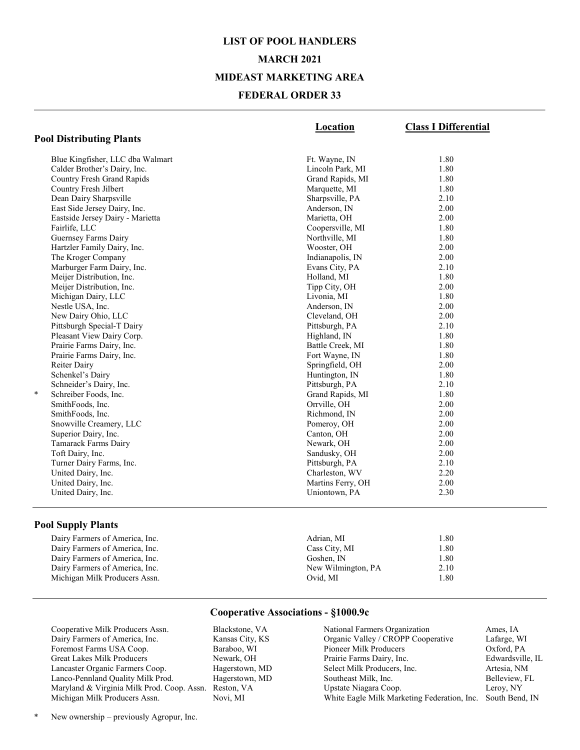### LIST OF POOL HANDLERS MARCH 2021 MIDEAST MARKETING AREA FEDERAL ORDER 33

|                                   | Location          | <b>Class I Differential</b> |
|-----------------------------------|-------------------|-----------------------------|
| <b>Pool Distributing Plants</b>   |                   |                             |
| Blue Kingfisher, LLC dba Walmart  | Ft. Wayne, IN     | 1.80                        |
| Calder Brother's Dairy, Inc.      | Lincoln Park, MI  | 1.80                        |
| <b>Country Fresh Grand Rapids</b> | Grand Rapids, MI  | 1.80                        |
| Country Fresh Jilbert             | Marquette, MI     | 1.80                        |
| Dean Dairy Sharpsville            | Sharpsville, PA   | 2.10                        |
| East Side Jersey Dairy, Inc.      | Anderson, IN      | 2.00                        |
| Eastside Jersey Dairy - Marietta  | Marietta, OH      | 2.00                        |
| Fairlife, LLC                     | Coopersville, MI  | 1.80                        |
| Guernsey Farms Dairy              | Northville, MI    | 1.80                        |
| Hartzler Family Dairy, Inc.       | Wooster, OH       | 2.00                        |
| The Kroger Company                | Indianapolis, IN  | 2.00                        |
| Marburger Farm Dairy, Inc.        | Evans City, PA    | 2.10                        |
| Meijer Distribution, Inc.         | Holland, MI       | 1.80                        |
| Meijer Distribution, Inc.         | Tipp City, OH     | 2.00                        |
| Michigan Dairy, LLC               | Livonia, MI       | 1.80                        |
| Nestle USA, Inc.                  | Anderson, IN      | 2.00                        |
| New Dairy Ohio, LLC               | Cleveland, OH     | 2.00                        |
| Pittsburgh Special-T Dairy        | Pittsburgh, PA    | 2.10                        |
| Pleasant View Dairy Corp.         | Highland, IN      | 1.80                        |
| Prairie Farms Dairy, Inc.         | Battle Creek, MI  | 1.80                        |
| Prairie Farms Dairy, Inc.         | Fort Wayne, IN    | 1.80                        |
| Reiter Dairy                      | Springfield, OH   | 2.00                        |
| Schenkel's Dairy                  | Huntington, IN    | 1.80                        |
| Schneider's Dairy, Inc.           | Pittsburgh, PA    | 2.10                        |
| ÷<br>Schreiber Foods, Inc.        | Grand Rapids, MI  | 1.80                        |
| SmithFoods, Inc.                  | Orrville, OH      | 2.00                        |
| SmithFoods, Inc.                  | Richmond, IN      | 2.00                        |
| Snowville Creamery, LLC           | Pomeroy, OH       | 2.00                        |
| Superior Dairy, Inc.              | Canton, OH        | 2.00                        |
| Tamarack Farms Dairy              | Newark, OH        | 2.00                        |
| Toft Dairy, Inc.                  | Sandusky, OH      | 2.00                        |
| Turner Dairy Farms, Inc.          | Pittsburgh, PA    | 2.10                        |
| United Dairy, Inc.                | Charleston, WV    | 2.20                        |
| United Dairy, Inc.                | Martins Ferry, OH | 2.00                        |
| United Dairy, Inc.                | Uniontown, PA     | 2.30                        |
|                                   |                   |                             |

#### Pool Supply Plants

Michigan Milk Producers Assn.

### Dairy Farmers of America, Inc. 6. 2012 1.80 Adrian, MI 1.80 Dairy Farmers of America, Inc. Cass City, MI 1.80 Dairy Farmers of America, Inc. 6. 6 Goshen, IN 6. 6 Goshen, IN 1.80<br>
Dairy Farmers of America, Inc. 6. 6 New Wilmington, PA 2.10 Dairy Farmers of America, Inc.<br>
Michigan Milk Producers Assn.<br>
1.80<br>
2.10<br>
2.10<br>
2.10<br>
2.10<br>
2.10<br>
2.10<br>
2.10<br>
2.10

#### Cooperative Associations - §1000.9c

Cooperative Milk Producers Assn. Blackstone, VA Dairy Farmers of America, Inc. Kansas City, KS Foremost Farms USA Coop. Baraboo, WI Great Lakes Milk Producers Newark, OH Lancaster Organic Farmers Coop. Hagerstown, MD Lanco-Pennland Quality Milk Prod. Hagerstown, MD Maryland & Virginia Milk Prod. Coop. Assn. Reston, VA Michigan Milk Producers Assn. Novi, MI

 National Farmers Organization Ames, IA Organic Valley / CROPP Cooperative Lafarge, WI Pioneer Milk Producers Oxford, PA Prairie Farms Dairy, Inc. Edwardsville, IL Select Milk Producers, Inc. Artesia, NM Southeast Milk, Inc. Belleview, FL Upstate Niagara Coop. Leroy, NY White Eagle Milk Marketing Federation, Inc. South Bend, IN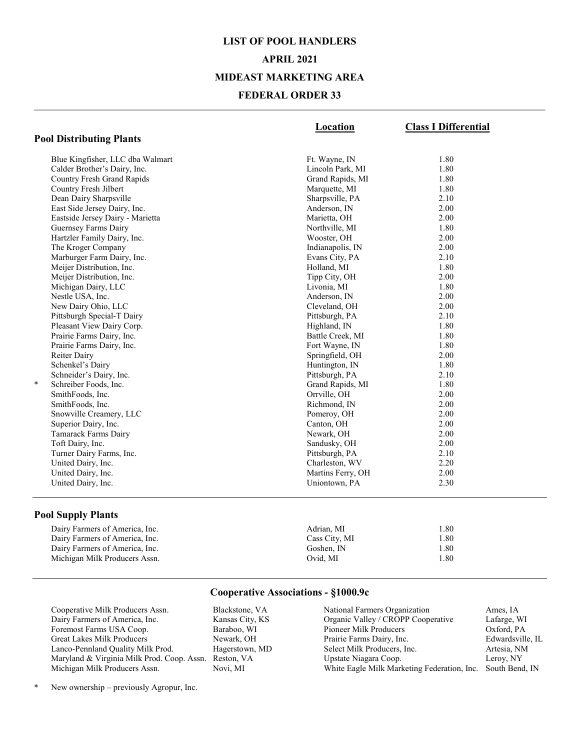### LIST OF POOL HANDLERS APRIL 2021 MIDEAST MARKETING AREA FEDERAL ORDER 33

|                                  | <b>Location</b>   | <b>Class I Differential</b> |
|----------------------------------|-------------------|-----------------------------|
| <b>Pool Distributing Plants</b>  |                   |                             |
| Blue Kingfisher, LLC dba Walmart | Ft. Wayne, IN     | 1.80                        |
| Calder Brother's Dairy, Inc.     | Lincoln Park, MI  | 1.80                        |
| Country Fresh Grand Rapids       | Grand Rapids, MI  | 1.80                        |
| Country Fresh Jilbert            | Marquette, MI     | 1.80                        |
| Dean Dairy Sharpsville           | Sharpsville, PA   | 2.10                        |
| East Side Jersey Dairy, Inc.     | Anderson, IN      | 2.00                        |
| Eastside Jersey Dairy - Marietta | Marietta, OH      | 2.00                        |
| Guernsey Farms Dairy             | Northville, MI    | 1.80                        |
| Hartzler Family Dairy, Inc.      | Wooster, OH       | 2.00                        |
| The Kroger Company               | Indianapolis, IN  | 2.00                        |
| Marburger Farm Dairy, Inc.       | Evans City, PA    | 2.10                        |
| Meijer Distribution, Inc.        | Holland, MI       | 1.80                        |
| Meijer Distribution, Inc.        | Tipp City, OH     | 2.00                        |
| Michigan Dairy, LLC              | Livonia, MI       | 1.80                        |
| Nestle USA, Inc.                 | Anderson, IN      | 2.00                        |
| New Dairy Ohio, LLC              | Cleveland, OH     | 2.00                        |
| Pittsburgh Special-T Dairy       | Pittsburgh, PA    | 2.10                        |
| Pleasant View Dairy Corp.        | Highland, IN      | 1.80                        |
| Prairie Farms Dairy, Inc.        | Battle Creek, MI  | 1.80                        |
| Prairie Farms Dairy, Inc.        | Fort Wayne, IN    | 1.80                        |
| Reiter Dairy                     | Springfield, OH   | 2.00                        |
| Schenkel's Dairy                 | Huntington, IN    | 1.80                        |
| Schneider's Dairy, Inc.          | Pittsburgh, PA    | 2.10                        |
| $\ast$<br>Schreiber Foods, Inc.  | Grand Rapids, MI  | 1.80                        |
| SmithFoods, Inc.                 | Orrville, OH      | 2.00                        |
| SmithFoods, Inc.                 | Richmond, IN      | 2.00                        |
| Snowville Creamery, LLC          | Pomeroy, OH       | 2.00                        |
| Superior Dairy, Inc.             | Canton, OH        | 2.00                        |
| Tamarack Farms Dairy             | Newark, OH        | 2.00                        |
| Toft Dairy, Inc.                 | Sandusky, OH      | 2.00                        |
| Turner Dairy Farms, Inc.         | Pittsburgh, PA    | 2.10                        |
| United Dairy, Inc.               | Charleston, WV    | 2.20                        |
| United Dairy, Inc.               | Martins Ferry, OH | 2.00                        |
| United Dairy, Inc.               | Uniontown, PA     | 2.30                        |
|                                  |                   |                             |

#### Pool Supply Plants

| Dairy Farmers of America, Inc. | Adrian. MI    | 1.80 |
|--------------------------------|---------------|------|
| Dairy Farmers of America, Inc. | Cass City, MI | 1.80 |
| Dairy Farmers of America, Inc. | Goshen. IN    | 1.80 |
| Michigan Milk Producers Assn.  | Ovid. MI      | 1.80 |

#### Cooperative Associations - §1000.9c

Cooperative Milk Producers Assn. Blackstone, VA<br>
Dairy Farmers of America, Inc. Kansas City, KS Dairy Farmers of America, Inc. Foremost Farms USA Coop. Baraboo, WI Great Lakes Milk Producers Newark, OH Lanco-Pennland Quality Milk Prod. Hagerstown, MD Maryland & Virginia Milk Prod. Coop. Assn. Reston, VA Michigan Milk Producers Assn.

 National Farmers Organization Ames, IA Organic Valley / CROPP Cooperative Lafarge, WI Pioneer Milk Producers Oxford, PA Prairie Farms Dairy, Inc. Edwardsville, IL Select Milk Producers, Inc. Artesia, NM Upstate Niagara Coop. Leroy, NY White Eagle Milk Marketing Federation, Inc. South Bend, IN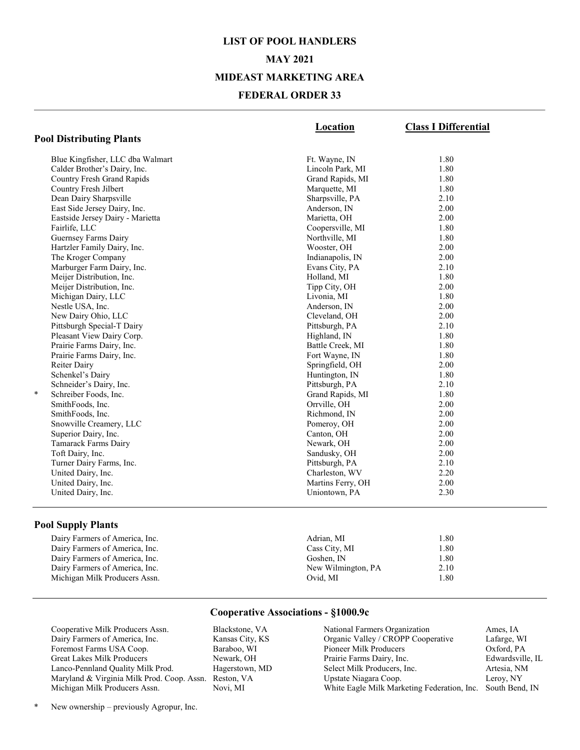## LIST OF POOL HANDLERS MAY 2021 MIDEAST MARKETING AREA FEDERAL ORDER 33

|                                   | Location          | <b>Class I Differential</b> |
|-----------------------------------|-------------------|-----------------------------|
| <b>Pool Distributing Plants</b>   |                   |                             |
| Blue Kingfisher, LLC dba Walmart  | Ft. Wayne, IN     | 1.80                        |
| Calder Brother's Dairy, Inc.      | Lincoln Park, MI  | 1.80                        |
| <b>Country Fresh Grand Rapids</b> | Grand Rapids, MI  | 1.80                        |
| Country Fresh Jilbert             | Marquette, MI     | 1.80                        |
| Dean Dairy Sharpsville            | Sharpsville, PA   | 2.10                        |
| East Side Jersey Dairy, Inc.      | Anderson, IN      | 2.00                        |
| Eastside Jersey Dairy - Marietta  | Marietta, OH      | 2.00                        |
| Fairlife, LLC                     | Coopersville, MI  | 1.80                        |
| Guernsey Farms Dairy              | Northville, MI    | 1.80                        |
| Hartzler Family Dairy, Inc.       | Wooster, OH       | 2.00                        |
| The Kroger Company                | Indianapolis, IN  | 2.00                        |
| Marburger Farm Dairy, Inc.        | Evans City, PA    | 2.10                        |
| Meijer Distribution, Inc.         | Holland, MI       | 1.80                        |
| Meijer Distribution, Inc.         | Tipp City, OH     | 2.00                        |
| Michigan Dairy, LLC               | Livonia, MI       | 1.80                        |
| Nestle USA, Inc.                  | Anderson, IN      | 2.00                        |
| New Dairy Ohio, LLC               | Cleveland, OH     | 2.00                        |
| Pittsburgh Special-T Dairy        | Pittsburgh, PA    | 2.10                        |
| Pleasant View Dairy Corp.         | Highland, IN      | 1.80                        |
| Prairie Farms Dairy, Inc.         | Battle Creek, MI  | 1.80                        |
| Prairie Farms Dairy, Inc.         | Fort Wayne, IN    | 1.80                        |
| Reiter Dairy                      | Springfield, OH   | 2.00                        |
| Schenkel's Dairy                  | Huntington, IN    | 1.80                        |
| Schneider's Dairy, Inc.           | Pittsburgh, PA    | 2.10                        |
| *<br>Schreiber Foods, Inc.        | Grand Rapids, MI  | 1.80                        |
| SmithFoods, Inc.                  | Orrville, OH      | 2.00                        |
| SmithFoods, Inc.                  | Richmond, IN      | 2.00                        |
| Snowville Creamery, LLC           | Pomeroy, OH       | 2.00                        |
| Superior Dairy, Inc.              | Canton, OH        | 2.00                        |
| Tamarack Farms Dairy              | Newark, OH        | 2.00                        |
| Toft Dairy, Inc.                  | Sandusky, OH      | 2.00                        |
| Turner Dairy Farms, Inc.          | Pittsburgh, PA    | 2.10                        |
| United Dairy, Inc.                | Charleston, WV    | 2.20                        |
| United Dairy, Inc.                | Martins Ferry, OH | 2.00                        |
| United Dairy, Inc.                | Uniontown, PA     | 2.30                        |
|                                   |                   |                             |

#### Pool Supply Plants

Dairy Farmers of America, Inc. Cass City, MI 1.80<br>
Dairy Farmers of America, Inc. Cass City, MI 1.80<br>
Goshen, IN 1.80 Dairy Farmers of America, Inc. 6. 6 Goshen, IN 6. 6 Goshen, IN 1.80<br>
Dairy Farmers of America, Inc. 6. 6 New Wilmington, PA 2.10 Dairy Farmers of America, Inc.<br>
Michigan Milk Producers Assn.<br>
1.80<br>
2.10<br>
2.10<br>
2.10<br>
2.10<br>
2.10<br>
2.10<br>
2.10 Michigan Milk Producers Assn.

# Dairy Farmers of America, Inc. (a) 1.80<br>
Dairy Farmers of America, Inc. (a) 1.80<br>
2008 City, MI 1.80

Cooperative Associations - §1000.9c

Cooperative Milk Producers Assn. Blackstone, VA Dairy Farmers of America, Inc. Kansas City, KS<br>Foremost Farms USA Coop. Baraboo, WI Foremost Farms USA Coop. Great Lakes Milk Producers Newark, OH<br>
Lanco-Pennland Quality Milk Prod. Hagerstown, MD Lanco-Pennland Quality Milk Prod. Maryland & Virginia Milk Prod. Coop. Assn. Reston, VA Michigan Milk Producers Assn.

| Edwardsville, IL |
|------------------|
|                  |
|                  |
| South Bend, IN   |
|                  |